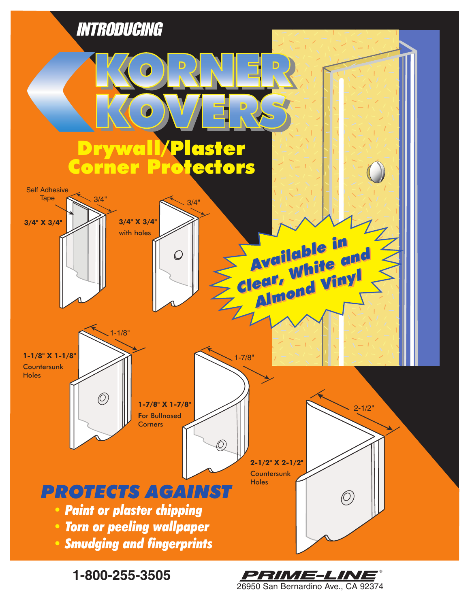

**1-800-255-3505**

26950 San Bernardino Ave., CA 92374